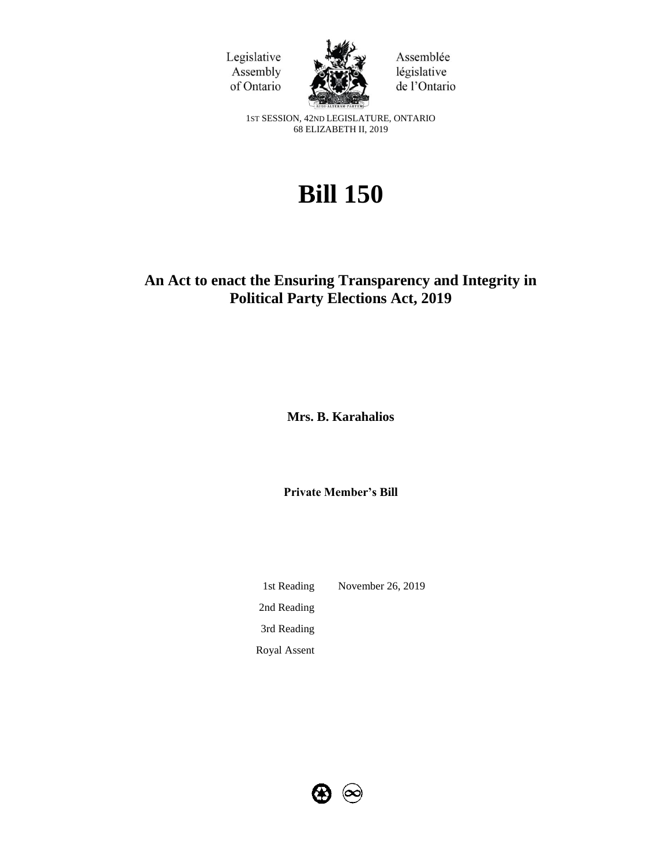



Assemblée législative de l'Ontario

1ST SESSION, 42ND LEGISLATURE, ONTARIO 68 ELIZABETH II, 2019

# **Bill 150**

# **An Act to enact the Ensuring Transparency and Integrity in Political Party Elections Act, 2019**

**Mrs. B. Karahalios** 

**Private Member's Bill**

1st Reading November 26, 2019 2nd Reading 3rd Reading Royal Assent

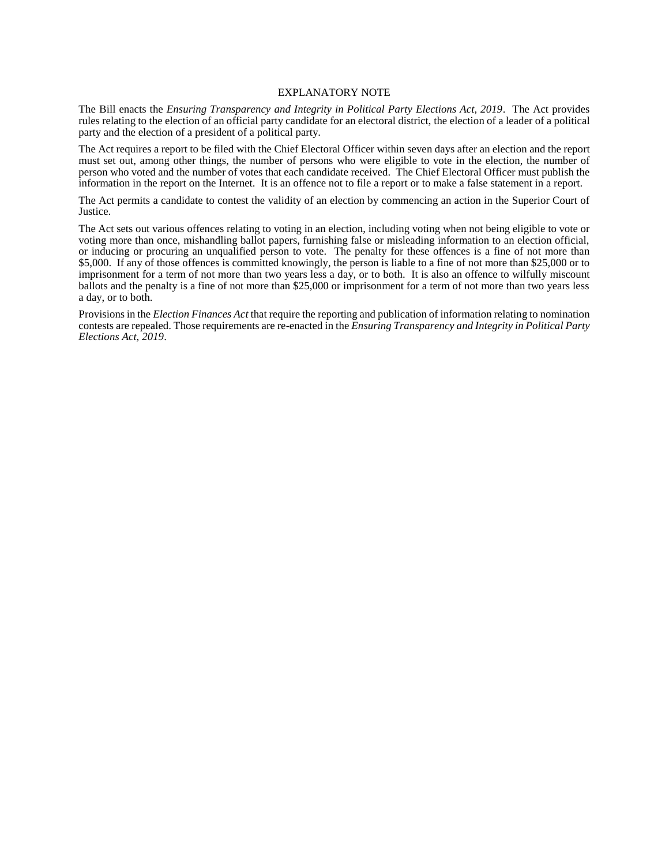#### EXPLANATORY NOTE

The Bill enacts the *Ensuring Transparency and Integrity in Political Party Elections Act, 2019*. The Act provides rules relating to the election of an official party candidate for an electoral district, the election of a leader of a political party and the election of a president of a political party.

The Act requires a report to be filed with the Chief Electoral Officer within seven days after an election and the report must set out, among other things, the number of persons who were eligible to vote in the election, the number of person who voted and the number of votes that each candidate received. The Chief Electoral Officer must publish the information in the report on the Internet. It is an offence not to file a report or to make a false statement in a report.

The Act permits a candidate to contest the validity of an election by commencing an action in the Superior Court of Justice.

The Act sets out various offences relating to voting in an election, including voting when not being eligible to vote or voting more than once, mishandling ballot papers, furnishing false or misleading information to an election official, or inducing or procuring an unqualified person to vote. The penalty for these offences is a fine of not more than \$5,000. If any of those offences is committed knowingly, the person is liable to a fine of not more than \$25,000 or to imprisonment for a term of not more than two years less a day, or to both. It is also an offence to wilfully miscount ballots and the penalty is a fine of not more than \$25,000 or imprisonment for a term of not more than two years less a day, or to both.

Provisions in the *Election Finances Act* that require the reporting and publication of information relating to nomination contests are repealed. Those requirements are re-enacted in the *Ensuring Transparency and Integrity in Political Party Elections Act, 2019*.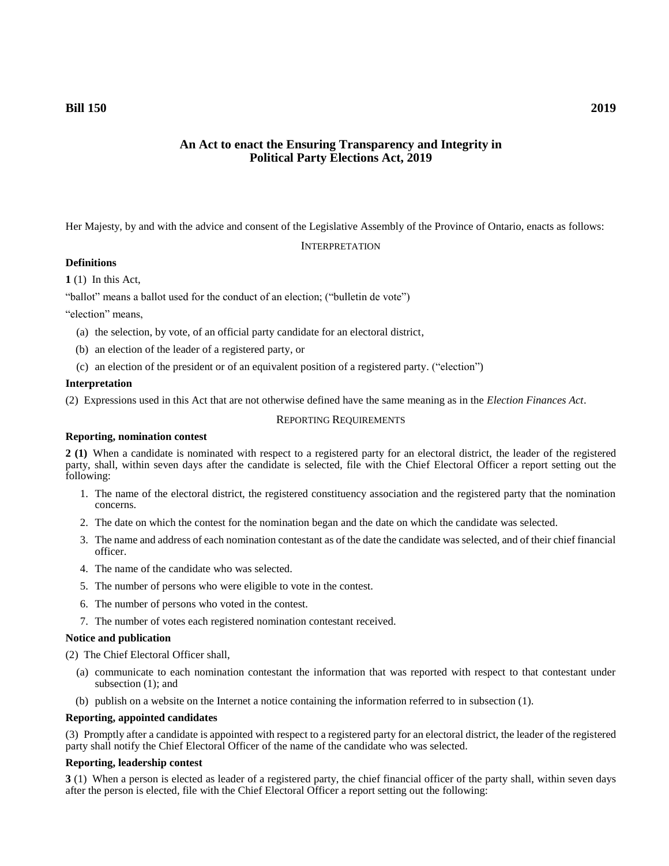# **An Act to enact the Ensuring Transparency and Integrity in Political Party Elections Act, 2019**

Her Majesty, by and with the advice and consent of the Legislative Assembly of the Province of Ontario, enacts as follows:

#### **INTERPRETATION**

# **Definitions**

**1** (1) In this Act,

"ballot" means a ballot used for the conduct of an election; ("bulletin de vote")

"election" means,

- (a) the selection, by vote, of an official party candidate for an electoral district,
- (b) an election of the leader of a registered party, or
- (c) an election of the president or of an equivalent position of a registered party. ("election")

#### **Interpretation**

(2) Expressions used in this Act that are not otherwise defined have the same meaning as in the *Election Finances Act*.

#### REPORTING REQUIREMENTS

#### **Reporting, nomination contest**

**2 (1)** When a candidate is nominated with respect to a registered party for an electoral district, the leader of the registered party, shall, within seven days after the candidate is selected, file with the Chief Electoral Officer a report setting out the following:

- 1. The name of the electoral district, the registered constituency association and the registered party that the nomination concerns.
- 2. The date on which the contest for the nomination began and the date on which the candidate was selected.
- 3. The name and address of each nomination contestant as of the date the candidate was selected, and of their chief financial officer.
- 4. The name of the candidate who was selected.
- 5. The number of persons who were eligible to vote in the contest.
- 6. The number of persons who voted in the contest.
- 7. The number of votes each registered nomination contestant received.

#### **Notice and publication**

(2) The Chief Electoral Officer shall,

- (a) communicate to each nomination contestant the information that was reported with respect to that contestant under subsection (1); and
- (b) publish on a website on the Internet a notice containing the information referred to in subsection (1).

#### **Reporting, appointed candidates**

(3) Promptly after a candidate is appointed with respect to a registered party for an electoral district, the leader of the registered party shall notify the Chief Electoral Officer of the name of the candidate who was selected.

#### **Reporting, leadership contest**

**3** (1) When a person is elected as leader of a registered party, the chief financial officer of the party shall, within seven days after the person is elected, file with the Chief Electoral Officer a report setting out the following: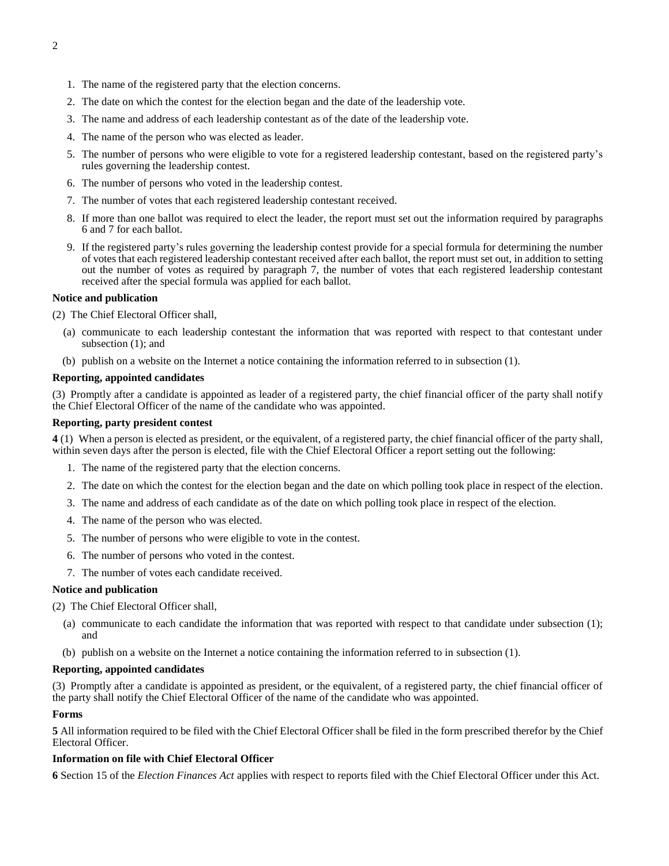- 1. The name of the registered party that the election concerns.
- 2. The date on which the contest for the election began and the date of the leadership vote.
- 3. The name and address of each leadership contestant as of the date of the leadership vote.
- 4. The name of the person who was elected as leader.
- 5. The number of persons who were eligible to vote for a registered leadership contestant, based on the registered party's rules governing the leadership contest.
- 6. The number of persons who voted in the leadership contest.
- 7. The number of votes that each registered leadership contestant received.
- 8. If more than one ballot was required to elect the leader, the report must set out the information required by paragraphs 6 and 7 for each ballot.
- 9. If the registered party's rules governing the leadership contest provide for a special formula for determining the number of votes that each registered leadership contestant received after each ballot, the report must set out, in addition to setting out the number of votes as required by paragraph 7, the number of votes that each registered leadership contestant received after the special formula was applied for each ballot.

#### **Notice and publication**

(2) The Chief Electoral Officer shall,

- (a) communicate to each leadership contestant the information that was reported with respect to that contestant under subsection (1); and
- (b) publish on a website on the Internet a notice containing the information referred to in subsection (1).

#### **Reporting, appointed candidates**

(3) Promptly after a candidate is appointed as leader of a registered party, the chief financial officer of the party shall notify the Chief Electoral Officer of the name of the candidate who was appointed.

#### **Reporting, party president contest**

**4** (1) When a person is elected as president, or the equivalent, of a registered party, the chief financial officer of the party shall, within seven days after the person is elected, file with the Chief Electoral Officer a report setting out the following:

- 1. The name of the registered party that the election concerns.
- 2. The date on which the contest for the election began and the date on which polling took place in respect of the election.
- 3. The name and address of each candidate as of the date on which polling took place in respect of the election.
- 4. The name of the person who was elected.
- 5. The number of persons who were eligible to vote in the contest.
- 6. The number of persons who voted in the contest.
- 7. The number of votes each candidate received.

#### **Notice and publication**

(2) The Chief Electoral Officer shall,

- (a) communicate to each candidate the information that was reported with respect to that candidate under subsection (1); and
- (b) publish on a website on the Internet a notice containing the information referred to in subsection (1).

#### **Reporting, appointed candidates**

(3) Promptly after a candidate is appointed as president, or the equivalent, of a registered party, the chief financial officer of the party shall notify the Chief Electoral Officer of the name of the candidate who was appointed.

#### **Forms**

**5** All information required to be filed with the Chief Electoral Officer shall be filed in the form prescribed therefor by the Chief Electoral Officer.

#### **Information on file with Chief Electoral Officer**

**6** Section 15 of the *Election Finances Act* applies with respect to reports filed with the Chief Electoral Officer under this Act.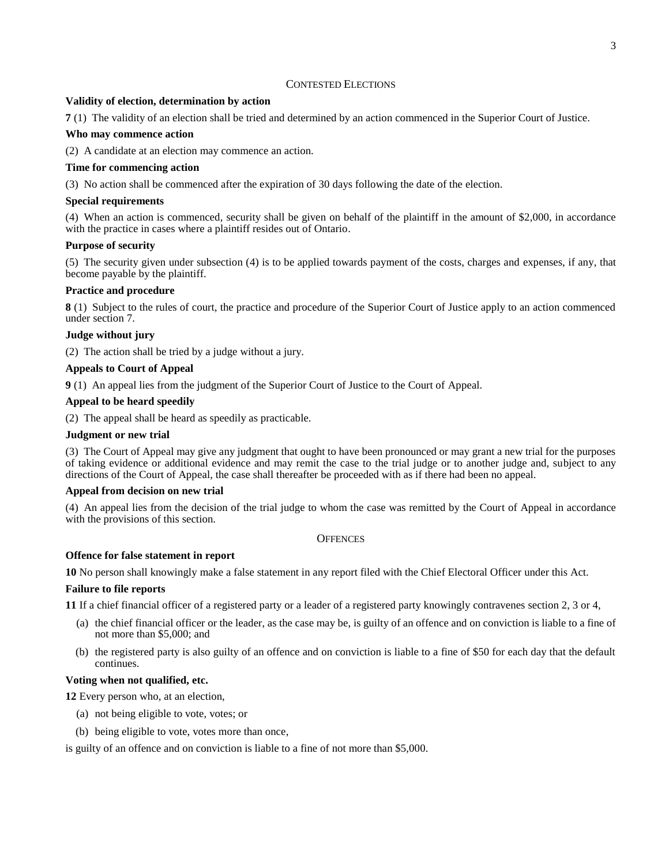# CONTESTED ELECTIONS

#### **Validity of election, determination by action**

**7** (1) The validity of an election shall be tried and determined by an action commenced in the Superior Court of Justice.

#### **Who may commence action**

(2) A candidate at an election may commence an action.

#### **Time for commencing action**

(3) No action shall be commenced after the expiration of 30 days following the date of the election.

#### **Special requirements**

(4) When an action is commenced, security shall be given on behalf of the plaintiff in the amount of \$2,000, in accordance with the practice in cases where a plaintiff resides out of Ontario.

# **Purpose of security**

(5) The security given under subsection (4) is to be applied towards payment of the costs, charges and expenses, if any, that become payable by the plaintiff.

#### **Practice and procedure**

**8** (1) Subject to the rules of court, the practice and procedure of the Superior Court of Justice apply to an action commenced under section 7.

#### **Judge without jury**

(2) The action shall be tried by a judge without a jury.

#### **Appeals to Court of Appeal**

**9** (1) An appeal lies from the judgment of the Superior Court of Justice to the Court of Appeal.

#### **Appeal to be heard speedily**

(2) The appeal shall be heard as speedily as practicable.

#### **Judgment or new trial**

(3) The Court of Appeal may give any judgment that ought to have been pronounced or may grant a new trial for the purposes of taking evidence or additional evidence and may remit the case to the trial judge or to another judge and, subject to any directions of the Court of Appeal, the case shall thereafter be proceeded with as if there had been no appeal.

#### **Appeal from decision on new trial**

(4) An appeal lies from the decision of the trial judge to whom the case was remitted by the Court of Appeal in accordance with the provisions of this section.

#### **OFFENCES**

#### **Offence for false statement in report**

**10** No person shall knowingly make a false statement in any report filed with the Chief Electoral Officer under this Act.

#### **Failure to file reports**

**11** If a chief financial officer of a registered party or a leader of a registered party knowingly contravenes section 2, 3 or 4,

- (a) the chief financial officer or the leader, as the case may be, is guilty of an offence and on conviction is liable to a fine of not more than \$5,000; and
- (b) the registered party is also guilty of an offence and on conviction is liable to a fine of \$50 for each day that the default continues.

#### **Voting when not qualified, etc.**

**12** Every person who, at an election,

- (a) not being eligible to vote, votes; or
- (b) being eligible to vote, votes more than once,

is guilty of an offence and on conviction is liable to a fine of not more than \$5,000.